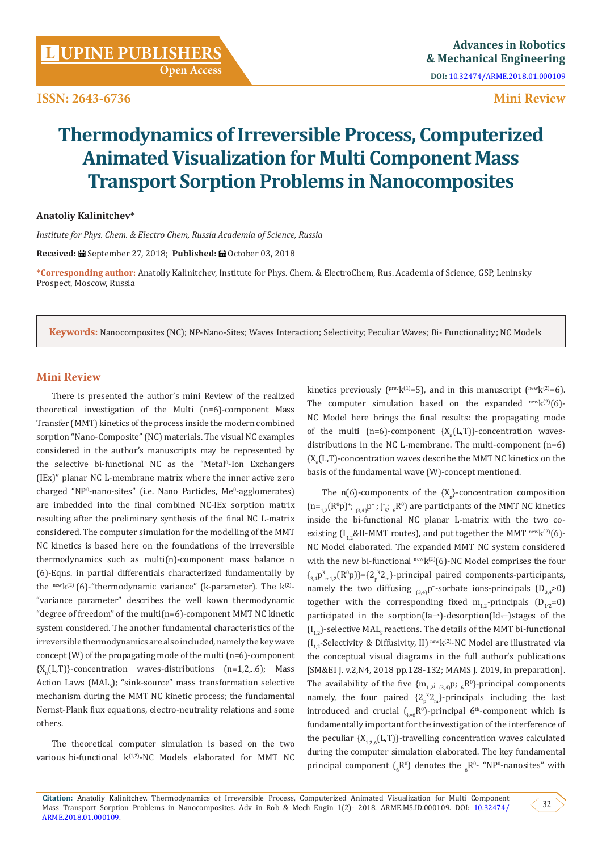**Open Access**

**ISSN: 2643-6736**

## **Mini Review**

# **Thermodynamics of Irreversible Process, Computerized Animated Visualization for Multi Component Mass Transport Sorption Problems in Nanocomposites**

### **Anatoliy Kalinitchev\***

*Institute for Phys. Chem. & Electro Chem, Russia Academia of Science, Russia*

**Received:** September 27, 2018; **Published:** October 03, 2018

**\*Corresponding author:** Anatoliy Kalinitchev, Institute for Phys. Chem. & ElectroChem, Rus. Academia of Science, GSP, Leninsky Prospect, Moscow, Russia

**Keywords:** Nanocomposites (NC); NP-Nano-Sites; Waves Interaction; Selectivity; Peculiar Waves; Bi- Functionality; NC Models

### **Mini Review**

There is presented the author's mini Review of the realized theoretical investigation of the Multi (n=6)-component Mass Transfer (MMT) kinetics of the process inside the modern combined sorption "Nano-Composite" (NC) materials. The visual NC examples considered in the author's manuscripts may be represented by the selective bi-functional NC as the "Metal<sup>0</sup>-Ion Exchangers (IEx)" planar NC L-membrane matrix where the inner active zero charged "NPº-nano-sites" (i.e. Nano Particles, Meº-agglomerates) are imbedded into the final combined NC-IEx sorption matrix resulting after the preliminary synthesis of the final NC L-matrix considered. The computer simulation for the modelling of the MMT NC kinetics is based here on the foundations of the irreversible thermodynamics such as multi(n)-component mass balance n (6)-Eqns. in partial differentials characterized fundamentally by the newk<sup>(2)</sup> (6)-"thermodynamic variance" (k-parameter). The  $k^{(2)}$ -"variance parameter" describes the well kown thermodynamic "degree of freedom" of the multi(n=6)-component MMT NC kinetic system considered. The another fundamental characteristics of the irreversible thermodynamics are also included, namely the key wave concept (W) of the propagating mode of the multi (n=6)-component  ${X_n(L,T)}$ -concentration waves-distributions (n=1,2,..6); Mass Action Laws (MAL<sub>s</sub>); "sink-source" mass transformation selective mechanism during the MMT NC kinetic process; the fundamental Nernst-Plank flux equations, electro-neutrality relations and some others.

The theoretical computer simulation is based on the two various bi-functional  $k^{(1,2)}$ -NC Models elaborated for MMT NC

kinetics previously ( $prevk^{(1)}=5$ ), and in this manuscript ( $newk^{(2)}=6$ ). The computer simulation based on the expanded  $newk^{(2)}(6)$ -NC Model here brings the final results: the propagating mode of the multi (n=6)-component  $\{X_{n}(L,T)\}$ -concentration wavesdistributions in the NC L-membrane. The multi-component (n=6)  ${X_n(L,T)}$ -concentration waves describe the MMT NC kinetics on the basis of the fundamental wave (W)-concept mentioned.

The  $n(\mathfrak{b})$ -components of the  $\{X_{n}\}$ -concentration composition  $(n=_{1,2}(R^0p)^*;_{(3,4)}p^*; j<sub>5</sub>;_{6}R^0)$  are participants of the MMT NC kinetics inside the bi-functional NC planar L-matrix with the two coexisting  $[I_1, & II-MMT$  routes), and put together the MMT  $newk^{(2)}(6)$ -NC Model elaborated. The expanded MMT NC system considered with the new bi-functional  $newk^{(2)}(6)$ -NC Model comprises the four  $\{A_{3,4}p_{m1,2}^x(R^0p)\}=\{2\gamma^2m\}$ -principal paired components-participants, namely the two diffusing  $_{(3,4)}$ p<sup>+</sup>-sorbate ions-principals  $(D_{3,4} > 0)$ together with the corresponding fixed  $\rm m_{1,2}$ -principals  $\rm (D_{1'2}=0)$ participated in the sorption(Ia→)-desorption(Id–)stages of the  $(I_{1,2})$ -selective MAL<sub>S</sub> reactions. The details of the MMT bi-functional  $(I_{1,2}$ -Selectivity & Diffusivity, II) <sup>new</sup>k<sup>(2)</sup>-NC Model are illustrated via the conceptual visual diagrams in the full author's publications [SM&EI J. v.2,N4, 2018 pp.128-132; MAMS J. 2019, in preparation]. The availability of the five  ${m_{1,2}};_{(3,4)}$ p; <sub>6</sub>R<sup>0</sup>}-principal components namely, the four paired  $\{2\frac{x}{p}2\frac{m}{p}\}$ -principals including the last introduced and crucial  $\binom{k}{k=6}$ P°)-principal 6<sup>th</sup>-component which is fundamentally important for the investigation of the interference of the peculiar  ${X_{1,2,6}(L,T)}$ -travelling concentration waves calculated during the computer simulation elaborated. The key fundamental principal component  $\binom{R^0}{6}$  denotes the  $\binom{R^0}{6}$ - "NP<sup>0</sup>-nanosites" with